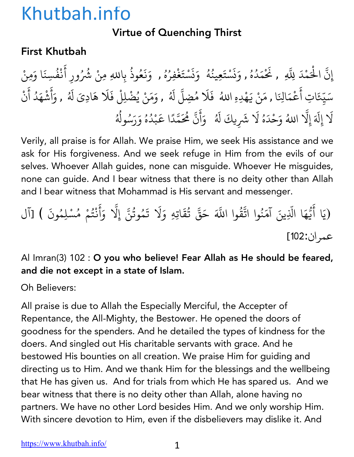## Virtue of Quenching Thirst

## First Khutbah

إِنَّ الْحَمْدَ لِلَّهِ , نَحْمَدُهُ , وَنَسْتَعِينُهُ ۚ وَنَسْتَغْفِرُهُ , وَنَعُوذُ بِاللهِ مِنْ شُرُ المسلم<br>المسلماني ُ **∶** ن **∶** <u>ّ</u> ُ ∫<br>່ **∶** ن **∶** <u>ّ</u> **∶** ُ ؚ<br>ؚ **∶ ∶** ُ بِاللهِ مِنْ شُرُورِ أَنْفُسِنَا وَمِنْ ់<br>: **Andrew Communication** ُ سَيِّعَاتِ أَعْمَالِنَا , مَنْ يَهْدِهِ اللهُ ۖ فَلَا مُضِلَّ لَهُ , وَمَنْ يُضْلِلْ فَلَا هَادِىَ لَهُ , وَأَشْهَدُ أَنْ ؚ<br>ׇ֡֬֝֝֟<u>֝</u> ֧֦֧֝<u>֘</u> **∶ ∶ ∶** ا<br>ُ ؚ<br>ؚ<br>ؖ ُ **∶** أ ់<br>: **Andrew Communication ∶ Andrew Communication** لَا إِلَهَ إِلَّا اللهُ وَحْدَهُ لَا شَرِيكَ لَهُ ۚ وَأَنَّ مُحَمَّدًا عَبْدُهُ وَرَسُولُهُ **∶** ֧֖֧֚֚֝֝<br>֧֚֚֝ ∫<br>່ **∶ ∶** ्<br>। ا<br>المسلمانية<br>المسلمانية **∶** أ **∶** ֧֧֦֧֦֧֦֧֦֧֚֚֝֝֝֬<br>֧֚֝<br>֧֝ ֧֦֧֝<u>֘</u> ैं।<br>। **Andrew Communication** ُ ∫<br>∶ ُ ∫<br>≀

Verily, all praise is for Allah. We praise Him, we seek His assistance and we ask for His forgiveness. And we seek refuge in Him from the evils of our selves. Whoever Allah guides, none can misguide. Whoever He misguides, none can guide. And I bear witness that there is no deity other than Allah and I bear witness that Mohammad is His servant and messenger.

.<br>(يَا أَيُّهَا الَّذِينَ آمَنُوا اتَّقُّ ैं।<br>। ّ ्<br>। ֧֦֧֧֚֡֓֝֟֟֓֝֬<br>֧֚֝<br>֧֖֚֚֚֝֝֝**֓** ُ ्<br>द وا اللَّهَ حَقَّ تُقَاتِهِ وَلَا تَمُوتُنَّ إِلَّا وَأَنْتُمْ مُسْلِمُونَ ) [آل ُ **∶** ُ ֧֧֦֧֦֧֦֧֦֧֚֚֝֝֝֬<br>֧֚֚֝ **∶ ∶** ْ المستقبل المستقبل المستقبل المستقبل المستقبل المستقبل المستقبل المستقبل المستقبل المستقبل المستقبل المستقبل ال<br>والمستقبل المستقبل المستقبل المستقبل المستقبل المستقبل المستقبل المستقبل المستقبل المستقبل المستقبل المستقبل ا عمر ان:102]

### Al Imran(3) 102 : O you who believe! Fear Allah as He should be feared, and die not except in a state of Islam.

Oh Believers:

All praise is due to Allah the Especially Merciful, the Accepter of Repentance, the All-Mighty, the Bestower. He opened the doors of goodness for the spenders. And he detailed the types of kindness for the doers. And singled out His charitable servants with grace. And he bestowed His bounties on all creation. We praise Him for guiding and directing us to Him. And we thank Him for the blessings and the wellbeing that He has given us. And for trials from which He has spared us. And we bear witness that there is no deity other than Allah, alone having no partners. We have no other Lord besides Him. And we only worship Him. With sincere devotion to Him, even if the disbelievers may dislike it. And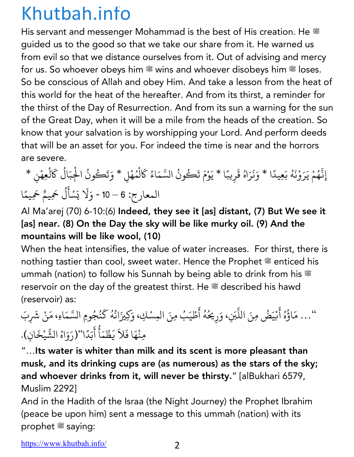His servant and messenger Mohammad is the best of His creation. He  $^{36}$ guided us to the good so that we take our share from it. He warned us from evil so that we distance ourselves from it. Out of advising and mercy for us. So whoever obeys him  $\ddot{\mathcal{L}}$  wins and whoever disobeys him  $\ddot{\mathcal{L}}$  loses. So be conscious of Allah and obey Him. And take a lesson from the heat of this world for the heat of the hereafter. And from its thirst, a reminder for the thirst of the Day of Resurrection. And from its sun a warning for the sun of the Great Day, when it will be a mile from the heads of the creation. So know that your salvation is by worshipping your Lord. And perform deeds that will be an asset for you. For indeed the time is near and the horrors are severe.

### إِنَّهُمْ يَرَوْنَهُ بَعِيدًا \* وَنَرَاهُ قَرِيبًا \* يَوْمَ تَكُونُ السَّمَاءُ كَالْمُهْلِ \* وَتَكُونُ الْجِبَالُ كَالْعِهْنِ \* ّ ُ **∶ Andrew Communication ∶** ∫<br>≀ **ا**<br>ا **∶ ∶** ै।<br>। **ا**<br>ا **∶** ْ ∫<br>∫ ֖֚֝֝֝֝֝֝֝֝**֟**֓֝֟֟ ل ؚ<br>ׇׇ֧֧֪֖֧֦֦֖֧֦֧֦֖֧֦֦֧֦֧֝֟֝֟֓֕֝֟֓֝֬֝֝֬֝֬<br>֧֪֪֧֝<u>֖֚֚</u> المسلم<br>المسلمات ∫<br>∫ *CONTRACTOR COMMUNICATION* ُ ֺ<u>֓</u> *CONTRACTOR COMMUNICATION* المعارج: 6 – 10 - وَلَا يَسْأَلُ حَمِيمٌ حَمِيمًا **│** ي ैं।<br>∶ ُ ً

Al Ma'arej (70) 6-10:(6) Indeed, they see it [as] distant, (7) But We see it [as] near. (8) On the Day the sky will be like murky oil. (9) And the mountains will be like wool, (10)

When the heat intensifies, the value of water increases. For thirst, there is nothing tastier than cool, sweet water. Hence the Prophet  $\mathscr{E}$  enticed his ummah (nation) to follow his Sunnah by being able to drink from his  $\ddot{\textbf{x}}$ reservoir on the day of the greatest thirst. He # described his hawd (reservoir) as:

… مَاؤُهُ أَبْيَضُ مِنَ اللَّبَنِ، وَرِيحُهُ أَطْيَبُ مِنَ المِسْكِ، وَكِيزَانُهُ كَنُجُومِ السَّمَاءِ، مَنْ شَرِبَ ُ ै।<br>। ֦֧֧֘֟֓<u>֚</u> |<br>|<br>| **่** ∫<br>≀ ∫<br>≀ َ ؚ<br>ۣ ُ ِّ بِ َ ُ **∶** مِنْهَا فَلاَ يَظْمَأُ أَبَدًا''(رَوَاهُ الشَّيْخَانِ). *CONTRACTOR COMMUNICATION* **∶ │ ∶** ∫<br>∶ َ **ا**<br>ا **∶** :<br>:

"…Its water is whiter than milk and its scent is more pleasant than musk, and its drinking cups are (as numerous) as the stars of the sky; and whoever drinks from it, will never be thirsty." [alBukhari 6579, Muslim 2292]

And in the Hadith of the Israa (the Night Journey) the Prophet Ibrahim (peace be upon him) sent a message to this ummah (nation) with its prophet  $*$  saying: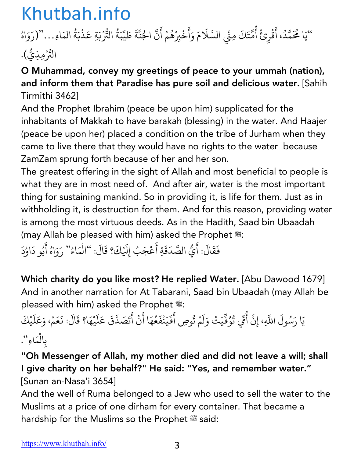### "يَا مُحَمَّدُ، أَقْرِئْ أُمَّتَكَ مِنِّي السَّلَامَ وَأَخْبِرْهُمْ أَنَّ الجَنَّةَ طَيِّبَةُ |<br>|<br>| ैं।<br>। ْ ؚ<br>ۣ ُ 1 **∶ ∶** ْ ؚ<sub>ّ</sub> ैं।<br>। |<br>|<br>| ֧֧֦֧֦֧֦֧֖֖֧֖֖֖֧֚֚֚֚֚֝֟֓֕֝֝֬֝<u>֓</u> **∶** ُ  $\ddot{\cdot}$ التُّرْبَةِ عَذْبَةُ المَاءِ..."(رَوَاهُ **Andrew Communication ृ ∶** ُ  $\ddot{\phantom{a}}$ التِّرْمِذِيُّ).

### O Muhammad, convey my greetings of peace to your ummah (nation), and inform them that Paradise has pure soil and delicious water. [Sahih Tirmithi 3462]

And the Prophet Ibrahim (peace be upon him) supplicated for the inhabitants of Makkah to have barakah (blessing) in the water. And Haajer (peace be upon her) placed a condition on the tribe of Jurham when they came to live there that they would have no rights to the water because ZamZam sprung forth because of her and her son.

The greatest offering in the sight of Allah and most beneficial to people is what they are in most need of. And after air, water is the most important thing for sustaining mankind. So in providing it, is life for them. Just as in withholding it, is destruction for them. And for this reason, providing water is among the most virtuous deeds. As in the Hadith, Saad bin Ubaadah (may Allah be pleased with him) asked the Prophet  $\ddot{\mathcal{L}}$ :

.<br>فَقَالَ: أَيُّ الصَّدَقَةِ أَعْجَبُ إِلَيْكَ؟ قَالَ: ''الْمَاءُ'' رَوَاهُ أَبُو دَاوُدَ **∶** ै।<br>। **.** |<br>|<br>| **∶** ै।<br>। ै।<br>। ∫<br>∫ ا<br>ا ِّ بِ ∫<br>∫ َ

Which charity do you like most? He replied Water. [Abu Dawood 1679] And in another narration for At Tabarani, Saad bin Ubaadah (may Allah be pleased with him) asked the Prophet  $\ddot{\mathcal{E}}$ :

### .<br>يَا رَسُولَ اللَّهِ، إِنَّ أُمِّي تُوُفِّيَتْ وَلَمْ تُوصِ أَفَيَنْفَعُهَا أَنْ أَتَصَدَّقَ عَلَيْهَا؟ قَالَ: نَعَمْ، وَعَلَيْكَ 1 ُ ُ ֦֧֦֧֦֧֦֧֦֧֝֝<u>֓</u> ै।<br>। ا ै।<br>। **∶ ∶ │** ْ ्<br>। ُ **∶** ֖֖֖֖֚֚֚֚֚֚֝֬<u>֓</u> َ ै।<br>। **Andrew Communication ∶** َ ै।<br>। **∶** بِالْمَاءِ". **Andrew Communication**

## "Oh Messenger of Allah, my mother died and did not leave a will; shall I give charity on her behalf?" He said: "Yes, and remember water." [Sunan an-Nasa'i 3654]

And the well of Ruma belonged to a Jew who used to sell the water to the Muslims at a price of one dirham for every container. That became a hardship for the Muslims so the Prophet  $\mathscr{E}$  said: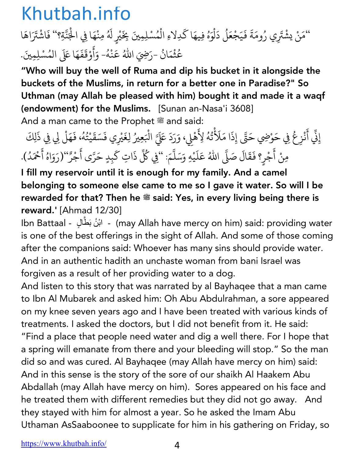''مَنْ يشْتَرِي رُومَةَ فَيَجْعَلُ دَلْوَهُ فِيهَا كَدِلاءِ الْمُسْلِمِينَ بِخَيْرٍ لَهُ مِنْهَا فِي الْجَنَّةِ؟'' فَاشْتَرَاهَا ُ ै।<br>। ै।<br>। <u>់</u> ُ **│** ل ْ ्<br>। ∫<br>≀ *CONTRACTOR COMMUNICATION CONTRACTOR COMMUNICATION* ै।<br>। ∫<br>≀ *CONTRACTOR COMMUNICATION* َ ֺ<u>֓</u> عُثْمَانُ -رَضِيَ اللّٰهُ عَنْهُ- وَأَوْقَفَهَا عَلَى المُسْلِمِينَ ُ <u>َ</u> ُ ∫<br>່ ֦֧ׅ֧֚֚֝֝֝֟֟֟֟֟֟֓֝֟֟֓֝֟֓֝֟֓֝֟֘֜ ْ ∫<br>່ **∶ ∶ ∶ ∶** .

"Who will buy the well of Ruma and dip his bucket in it alongside the buckets of the Muslims, in return for a better one in Paradise?" So Uthman (may Allah be pleased with him) bought it and made it a waqf (endowment) for the Muslims. [Sunan an-Nasa'i 3608] And a man came to the Prophet  $\stackrel{\text{\tiny def}}{=}$  and said:

إِنِّي أَنْزِعُ فِي حَوْضِي حَتَّى إِذَا مَلَأْ ै।<br>। *CONTRACTOR COMMUNICATION* ∫<br>∫ َنُهُ لِأَهْلِي، وَرَدَ عَلَيَّ الْبَعِيرُ لِغَيْرِي فَسَقَيْتُهُ، فَهَلْ لِي فِي ذَلِكَ ُ ់<br>: **∶** .<br>. ै।<br>। **Andrew Communication** ُ **∶ ∶** مِنْ أَجْرٍ؟ فَقَالَ صَلَّى اللهُ عَلَيْهِ وَسَلَّمَ: ''فِي كُلِّ ै।<br>। المستقبل المستقبل المستقبل المستقبل المستقبل المستقبل المستقبل المستقبل المستقبل المستقبل المستقبل المستقبل ال<br>المستقبل المستقبل المستقبل المستقبل المستقبل المستقبل المستقبل المستقبل المستقبل المستقبل المستقبل المستقبل ال **∶** ∫<br>≀ َ ै।<br>। ֺ<u>֓</u> 1 : ''فِي كُلِّ ذَاتِ كَبِدٍ حَرَّى أَجْرُ''(رَوَاهُ أَحْمَدُ). ់<br>ខែ  $\ddot{\phantom{0}}$ المستقبل المستقبل المستقبل المستقبل المستقبل المستقبل المستقبل المستقبل المستقبل المستقبل المستقبل المستقبل ال<br>المستقبل المستقبل المستقبل المستقبل المستقبل المستقبل المستقبل المستقبل المستقبل المستقبل المستقبل المستقبل ال ٌ **ृ** ै।<br>।

I fill my reservoir until it is enough for my family. And a camel belonging to someone else came to me so I gave it water. So will I be rewarded for that? Then he <sup>28</sup> said: Yes, in every living being there is reward.' [Ahmad 12/30]

Ibn Battaal - ابْنُ بَطَّالٍ - (may Allah have mercy on him) said: providing water is one of the best offerings in the sight of Allah. And some of those coming after the companions said: Whoever has many sins should provide water. And in an authentic hadith an unchaste woman from bani Israel was forgiven as a result of her providing water to a dog.

And listen to this story that was narrated by al Bayhaqee that a man came to Ibn Al Mubarek and asked him: Oh Abu Abdulrahman, a sore appeared on my knee seven years ago and I have been treated with various kinds of treatments. I asked the doctors, but I did not benefit from it. He said: "Find a place that people need water and dig a well there. For I hope that a spring will emanate from there and your bleeding will stop." So the man did so and was cured. Al Bayhaqee (may Allah have mercy on him) said: And in this sense is the story of the sore of our shaikh Al Haakem Abu Abdallah (may Allah have mercy on him). Sores appeared on his face and he treated them with different remedies but they did not go away. And they stayed with him for almost a year. So he asked the Imam Abu Uthaman AsSaaboonee to supplicate for him in his gathering on Friday, so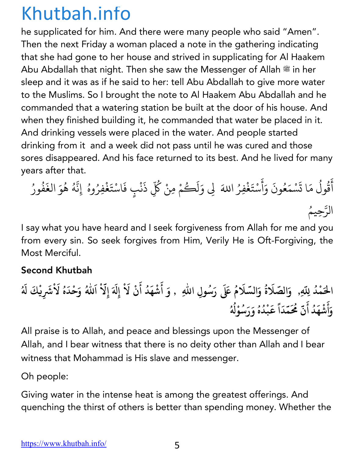he supplicated for him. And there were many people who said "Amen". Then the next Friday a woman placed a note in the gathering indicating that she had gone to her house and strived in supplicating for Al Haakem Abu Abdallah that night. Then she saw the Messenger of Allah  $\frac{44}{36}$  in her sleep and it was as if he said to her: tell Abu Abdallah to give more water to the Muslims. So I brought the note to Al Haakem Abu Abdallah and he commanded that a watering station be built at the door of his house. And when they finished building it, he commanded that water be placed in it. And drinking vessels were placed in the water. And people started drinking from it and a week did not pass until he was cured and those sores disappeared. And his face returned to its best. And he lived for many years after that.

أ َ ق ول ُ ُ م ا ت َ َ س م ْ ع َ ون ُ و َ َ أ َ س ْ ت َ غ ِفر ْ َ ِz <sup>و</sup> َ ا+ ُ ل ك َ ُ م ِمن ْ ك ْ ُّ ذ ِ َ ن ف ٍب ْ اس َ ْ ت َ غ ِفر ْ ُ وه إِن ُ ّ ه ُ ه ُ و َ الغ َ ف ُ ور ُ ّ الر ُِحيم

I say what you have heard and I seek forgiveness from Allah for me and you from every sin. So seek forgives from Him, Verily He is Oft-Forgiving, the Most Merciful.

### Second Khutbah

الْحَمْدُ لِلّهِ, ۚ وَالصَّلَاةُ وَالسَّلَامُ عَلَى رَسُولِ اللّهِ ۚ , وَ أَشْهَدُ أَنْ لَاْ إِلَهَ إِلّاْ اَللهُ وَحْدَهُ لَاْشَرِيْكَ لَهُ **And the contract of the contract of the contract of the contract of the contract of the contract of the contract of the contract of the contract of the contract of the contract of the contract of the contract of the contr ُ َ ُ َ ُ َ ْ َ َ َ َ ُ َ َ َ ُ و أ ش ه د أ ن م َّ َُ َ َ ْ َ ُ َ م د ق ب د ه و ر َ س َ و ْ > َّ َ ا ً َ ْ ُ ُ ُ ُ ُ**

All praise is to Allah, and peace and blessings upon the Messenger of Allah, and I bear witness that there is no deity other than Allah and I bear witness that Mohammad is His slave and messenger.

Oh people:

Giving water in the intense heat is among the greatest offerings. And quenching the thirst of others is better than spending money. Whether the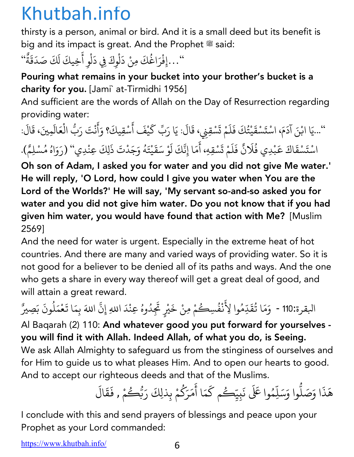thirsty is a person, animal or bird. And it is a small deed but its benefit is big and its impact is great. And the Prophet  $\mathcal{F}$  said:

ong and no mpact is great. 7 wd the rio<br>"… إِفْرَاغُكَ مِنْ دَلْوِكَ فِي دَلْوِ أَخِيكَ لَكَ صَدَقَةٌ" **∶** ل *CONTRACTOR COMMUNICATION* ै।<br>। ل *CONTRACTOR COMMUNICATION* ्<br>। .<br>. ٌ

### Pouring what remains in your bucket into your brother's bucket is a charity for you. [Jami` at-Tirmidhi 1956]

And sufficient are the words of Allah on the Day of Resurrection regarding providing water:

''...يَا ابْنَ آدَمَ، اسْتَسْقَيْتُكَ فَلَمْ تَسْقِنِي، قَالَ: يَا رَبِّ كَيْفَ أَسْقِيكَ؟ وَأَنْتَ رَبُّ الْعَالَمِينَ، قَالَ: َ ْै।<br>। *CONTRACTOR COMMUNICATION* َ َ *CONTRACTOR COMMUNICATION* ت  $\ddot{\phantom{a}}$ َ **∶ │** ់<br>: ْ َ اسْتَسْقَاكَ عَبْدِي فُلَانٌ فَلَمْ تَسْقِهِ، أَمَا إِنَّكَ لَوْ سَقَيْتَهُ وَجَدْتَ ذَلِكَ عِنْدِي'' (رَوَاهُ مُسْلِمٌ). *CONTRACTOR COMMUNICATION* ؚ<br>֡ **∶** ै।<br>। ْ ت ै।<br>। **∶ ∶ ∶** ֦֧֧֘֟֟֓<u>֚</u> **∶** ∫<br>່ **∶** ؚ<br>ۣ

Oh son of Adam, I asked you for water and you did not give Me water.' He will reply, 'O Lord, how could I give you water when You are the Lord of the Worlds?' He will say, 'My servant so-and-so asked you for water and you did not give him water. Do you not know that if you had given him water, you would have found that action with Me? [Muslim 2569]

And the need for water is urgent. Especially in the extreme heat of hot countries. And there are many and varied ways of providing water. So it is not good for a believer to be denied all of its paths and ways. And the one who gets a share in every way thereof will get a great deal of good, and will attain a great reward.

البقرة:110 - ۖ وَمَا تُقَدِّمُوا لِأَنْفُسِكُمْ مِنْ خَيْرٍ تَجِدُوهُ عِنْدَ اللهِ إِنَّ اللهَ بِمَا تَعْمَلُونَ بَصِيرً ُ ै।<br>। ُ ∫<br>∫ ∫<br>∫ ُ ْ ֧֧֖֚֚֝֟֓֕֝֬ ै।<br>। .<br>ا ֺ<u>֓</u> ِّ بِ

Al Baqarah (2) 110: And whatever good you put forward for yourselves you will find it with Allah. Indeed Allah, of what you do, is Seeing. We ask Allah Almighty to safeguard us from the stinginess of ourselves and for Him to guide us to what pleases Him. And to open our hearts to good. And to accept our righteous deeds and that of the Muslims.

هَذَا وَصَلُّوا وَسَلِّهُ .<br>י ֧֦֧֝<u>֘</u> ََ وا á ُ ن يِب <sup>م</sup> <sup>ك</sup> ُ ِك ّ م ا أ َ م ر َ ك َ م <sup>ر</sup> َ لِك ِذ <sup>ب</sup> ْ ك ب َ َ ا<br>: ؚ<br>ا **∶** ر<br>گ ِ<br>مْ , فَقَالَ **∶ ∶** 

I conclude with this and send prayers of blessings and peace upon your Prophet as your Lord commanded: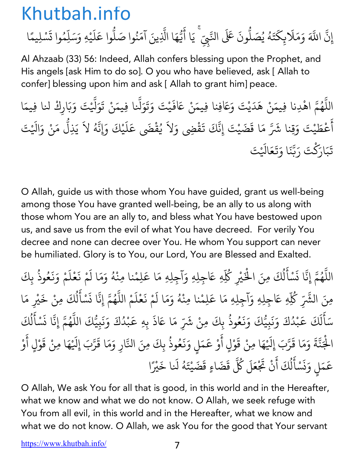### إِن .<br>.<br>. ्<br>द اللَّهَ وَمَلَابِكَتَهُ يُصَلُّونَ عَلَى النَّبِيِّ ۚ يَا أَيُّهَا الَّذِينَ آمَنُوا صَلُّوا عَلَيْهِ وَسَلِّمُوا تَسْلِيمًا **∶** ֦֦֖֖֚֚֚֚֚֝֝֝֝֝֝֝֝֝֝֝֝֝֝֝֝֝֝֝֝<del>֟</del> **∶** ∫<br>່ ِّ بِيَّةٍ بِيَّةٍ بِيَّةٍ بِيَانِيَةٍ بِيَانِيَةٍ بِيَانِيَةٍ بِيَانِيَةٍ بِيَانِيَةٍ بِيَانِيَةٍ بِيَانِيَةٍ **. ّ ∶** ֧֦֧֦֧֦֪֧֦֧֦֧֦֧֦֪֦֧֦֧֦֪֦֧֦֧֦֧֦֧֦֧֝֟֟֓֟֟֟֟֟֟֟֟֟֟֬֟֓֟֟֟֟֬֟֟֬֟֟֟֬֟֟֩֬֟֓֟֬֟֟֩֕֬֟֩֕֟֬֟֟֬֟֬֝֬ **، ृ** ُ **.** ्<br>। **∶ ، ∶ أ**<br>أ

Al Ahzaab (33) 56: Indeed, Allah confers blessing upon the Prophet, and His angels [ask Him to do so]. O you who have believed, ask [ Allah to confer] blessing upon him and ask [ Allah to grant him] peace.

اللَّهُمَّ اهْدِنا فِيمَنْ هَدَيْتَ وَعَافِنا فِيمَنْ عَافَيْتَ وَتَوَلَّنا فِيمَنْ تَوَلَّيْتَ وَبَارِكْ لنا فِيمَا ֧֧֦֧֖֖֚֚֚֚֚֝֝֝֬֝<br>֧֚֚֝<br>֧֚֝ ُ ֪֪֦֖֧֦֖֧֚֡֟֟֓֟֟֟֟֟֓֝֟֟֓֝֬֝֟֟֟֟֟֬֝֬֟֟֓֝֬֝֟֟֓֝֬֝֟֟֝֬֝֟֟֟֬֝֬֝֓֝֬֝֬֝֬֝֬֝֓֬֝֬֝֓֬֝֬֝֓֬֝֬֝֟֝֬֝֬֝֟֝֬֝֬֝֬ **∶ ∶ ∶ ∶** َ ֧֧֦֧֦֧֦֧֚֝֝֝<u>֓</u> **∶ ∶** أ **∶** عْطَيْتَ وَقِنا شَرَّ مَا قَضَيْتَ إِنَّكَ تَقْضِي وَلاَ يُقْضَى عَلَيْكَ وَإِنَّهُ لاَ يَذِلُّ مَنْ وَالَيْتَ **∶ ∶ ∶** ُ ֚֚֝<br>֧֚֝<br>֧֖֚֝֝֝֬֝֝֬֝֬֝֝֬֝֝֬֝**֚ ∶** ֧֡֡֟<u>֓</u> **∶** ֧֖֚֚֝֟֓֕֝֬֝ تَبَارَكْتَ رَبَّنَا وَتَعَالَيْتَ **∶ َ** ्<br>। **ّ ∶ ∶** 

O Allah, guide us with those whom You have guided, grant us well-being among those You have granted well-being, be an ally to us along with those whom You are an ally to, and bless what You have bestowed upon us, and save us from the evil of what You have decreed. For verily You decree and none can decree over You. He whom You support can never be humiliated. Glory is to You, our Lord, You are Blessed and Exalted.

اللَّهُمَّ إِنَّا نَسْأَلُكَ مِنَ الْخَيْرِ كُلِّهِ عَاجِلِهِ وَآجِلِهِ مَا عَلِمْنا مِنْهُ وَمَا لَمْ نَعْلَمْ وَنَعُوذُ بِكَ ֧֧֧֚֝֟֓֕֝֟֓֕֬֝֟֓֝֬֝֬֝֬֝֬֝֬֝֬֝֬֝֬֝֟֓֬֝֬֝֟֓֬֝֬֝֬֓֬ المسلم<br>المسلماني **∶** <u>ّ</u> **∶** ل المسلم<br>المسلماني ؚ<br>ۣ ْ∫<br>່ **∶ ∶** <u>َّ.</u> **∶ ∶ ∶** ِّ بِ ؚ<br>ؚ مِنَ الشَّرِّ كُلِّهِ عَاجِلِهِ وَآجِلِهِ مَا عَلِمْنا مِنْهُ وَمَا لَمْ نَعْلَمْ اللَّهُمَّ إِنَّا نَسْأَلُكَ مِنْ خَيْرِ مَا ∫<br>່ **∶ ∶** ١, ्<br>। **،** ُ **∶** ؚ<br>ا ֧֦֦֧֦֦֧֚֝֝֝֝<u>֓</u> ل ُ **∶** سَأَلَكَ عَبْدُكَ وَنَبِيُّكَ وَنَعُوذُ بِكَ َ َ ل **∶** ֧֚֝֝֝֟֟֟֟֟֟֟֟֟֓֝ ْ **∶ ∶ ∶ ∶** المستقبل المستقبل المستقبل المستقبل المستقبل المستقبل المستقبل المستقبل المستقبل المستقبل المستقبل المستقبل ال<br>والمستقبل المستقبل المستقبل المستقبل المستقبل المستقبل المستقبل المستقبل المستقبل المستقبل المستقبل المستقبل ا ، مِنْ شَرِّ مَا عَاذَ بِهِ عَبْدُكَ وَنَبِيُّكَ اللَّهُمَّ إِنَّا نَسْأَلُكَ **∶** ֝֝֝֝֝֝֝֝֟֟֟֟֝֟֟֟֟֜*֟* ْ **∶ ∶** <u>:</u> ُ **∶** <u>ّ</u> ֖֪֦֪֪֪֪֧֪֛֪֪֪֪֪֪֪ׅ֪֚֚֚֚֚֚֚֚֝֝֝֝֝֝֝֝֝֝֝֝֝֝֝֝֝֟֝֟֓֝֟֓֟֓֟֓֟֓֟֓֟֓֟֓֟֓֝֬֝֓֝֝֝֓֝֬֝֝֬֝֝ ل المستقبل المستقبل المستقبل المستقبل المستقبل المستقبل المستقبل المستقبل المستقبل المستقبل المستقبل المستقبل ال<br>والمستقبل المستقبل المستقبل المستقبل المستقبل المستقبل المستقبل المستقبل المستقبل المستقبل المستقبل المستقبل ا ؚ<br>ؚ الْجَنَّةَ وَمَا قَرَّبَ إِلَيْهَا مِنْ قَوْلٍ أَوْ عَمَلٍ وَنَعُوذُ بِكَ مِنَ النَّارِ وَمَا قَرَّبَ إِلَيْهَا مِنْ قَوْلٍ أَوْ ْ **∶** ֧֖֧֦֧֦֧֦֧֚֚֝֝֝֝֬<br>֧֚֝<br>֧֚֝ ؚ<br>: **: ∶** ْ **∶ ∶** ֚֝֝֟֟֟֟֟֟֟֟֟֟֟֓֡֬ **∶ ∶** ُ ֧֧֦֧֦֧֦֧֚֚֝֝֝֝֬<br>֧֚֝<br>֧֚֝ **∶** ֧֦֧֦֧֦֧֦֧֝֝֜*֟* **∶** ْ **∶** َ ْ عَمَلٍ وَنَسْأَلُكَ أَنْ تَجْ ֚֝֝֟֟֟֓֝֟֟֟֓֝֬֝ **∶** ن **∶** .<br>ا ់<br>: ل المستقبل المستقبل المستقبل المستقبل المستقبل المستقبل المستقبل المستقبل المستقبل المستقبل المستقبل المستقبل ال<br>والمستقبل المستقبل المستقبل المستقبل المستقبل المستقبل المستقبل المستقبل المستقبل المستقبل المستقبل المستقبل ا ์<br>; مَلَ كُلَّ ِ<br>قَضَاءٍ قَضَيْتَهُ لَنا خَيْرً **∶ Andrew Communication ∶** ا

O Allah, We ask You for all that is good, in this world and in the Hereafter, what we know and what we do not know. O Allah, we seek refuge with You from all evil, in this world and in the Hereafter, what we know and what we do not know. O Allah, we ask You for the good that Your servant